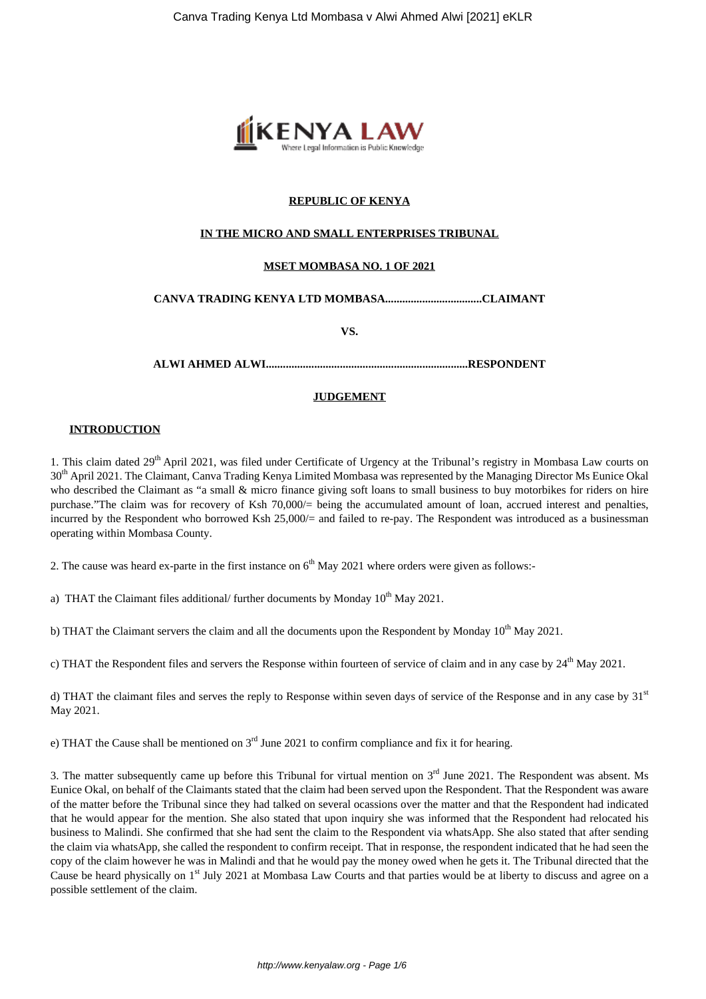

# **REPUBLIC OF KENYA**

## **IN THE MICRO AND SMALL ENTERPRISES TRIBUNAL**

## **MSET MOMBASA NO. 1 OF 2021**

# **CANVA TRADING KENYA LTD MOMBASA..................................CLAIMANT**

**VS.**

**ALWI AHMED ALWI.......................................................................RESPONDENT**

## **JUDGEMENT**

#### **INTRODUCTION**

1. This claim dated 29<sup>th</sup> April 2021, was filed under Certificate of Urgency at the Tribunal's registry in Mombasa Law courts on 30<sup>th</sup> April 2021. The Claimant, Canva Trading Kenya Limited Mombasa was represented by the Managing Director Ms Eunice Okal who described the Claimant as "a small & micro finance giving soft loans to small business to buy motorbikes for riders on hire purchase."The claim was for recovery of Ksh 70,000/= being the accumulated amount of loan, accrued interest and penalties, incurred by the Respondent who borrowed Ksh 25,000/= and failed to re-pay. The Respondent was introduced as a businessman operating within Mombasa County.

2. The cause was heard ex-parte in the first instance on  $6<sup>th</sup>$  May 2021 where orders were given as follows:-

a) THAT the Claimant files additional/ further documents by Monday  $10^{th}$  May 2021.

b) THAT the Claimant servers the claim and all the documents upon the Respondent by Monday  $10<sup>th</sup>$  May 2021.

c) THAT the Respondent files and servers the Response within fourteen of service of claim and in any case by  $24<sup>th</sup>$  May 2021.

d) THAT the claimant files and serves the reply to Response within seven days of service of the Response and in any case by  $31<sup>st</sup>$ May 2021.

e) THAT the Cause shall be mentioned on  $3<sup>rd</sup>$  June 2021 to confirm compliance and fix it for hearing.

3. The matter subsequently came up before this Tribunal for virtual mention on  $3<sup>rd</sup>$  June 2021. The Respondent was absent. Ms Eunice Okal, on behalf of the Claimants stated that the claim had been served upon the Respondent. That the Respondent was aware of the matter before the Tribunal since they had talked on several ocassions over the matter and that the Respondent had indicated that he would appear for the mention. She also stated that upon inquiry she was informed that the Respondent had relocated his business to Malindi. She confirmed that she had sent the claim to the Respondent via whatsApp. She also stated that after sending the claim via whatsApp, she called the respondent to confirm receipt. That in response, the respondent indicated that he had seen the copy of the claim however he was in Malindi and that he would pay the money owed when he gets it. The Tribunal directed that the Cause be heard physically on 1<sup>st</sup> July 2021 at Mombasa Law Courts and that parties would be at liberty to discuss and agree on a possible settlement of the claim.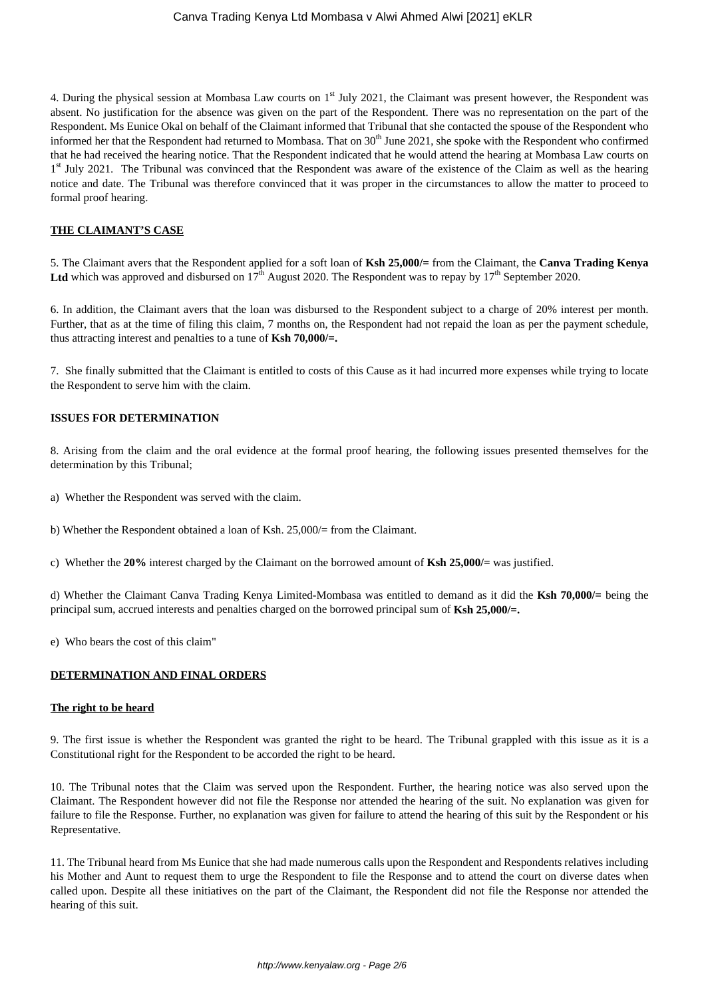4. During the physical session at Mombasa Law courts on 1<sup>st</sup> July 2021, the Claimant was present however, the Respondent was absent. No justification for the absence was given on the part of the Respondent. There was no representation on the part of the Respondent. Ms Eunice Okal on behalf of the Claimant informed that Tribunal that she contacted the spouse of the Respondent who informed her that the Respondent had returned to Mombasa. That on  $30<sup>th</sup>$  June 2021, she spoke with the Respondent who confirmed that he had received the hearing notice. That the Respondent indicated that he would attend the hearing at Mombasa Law courts on 1<sup>st</sup> July 2021. The Tribunal was convinced that the Respondent was aware of the existence of the Claim as well as the hearing notice and date. The Tribunal was therefore convinced that it was proper in the circumstances to allow the matter to proceed to formal proof hearing.

## **THE CLAIMANT'S CASE**

5. The Claimant avers that the Respondent applied for a soft loan of **Ksh 25,000/=** from the Claimant, the **Canva Trading Kenya** Ltd which was approved and disbursed on 17<sup>th</sup> August 2020. The Respondent was to repay by 17<sup>th</sup> September 2020.

6. In addition, the Claimant avers that the loan was disbursed to the Respondent subject to a charge of 20% interest per month. Further, that as at the time of filing this claim, 7 months on, the Respondent had not repaid the loan as per the payment schedule, thus attracting interest and penalties to a tune of **Ksh 70,000/=.**

7. She finally submitted that the Claimant is entitled to costs of this Cause as it had incurred more expenses while trying to locate the Respondent to serve him with the claim.

## **ISSUES FOR DETERMINATION**

8. Arising from the claim and the oral evidence at the formal proof hearing, the following issues presented themselves for the determination by this Tribunal;

- a) Whether the Respondent was served with the claim.
- b) Whether the Respondent obtained a loan of Ksh. 25,000/= from the Claimant.
- c) Whether the **20%** interest charged by the Claimant on the borrowed amount of **Ksh 25,000/=** was justified.

d) Whether the Claimant Canva Trading Kenya Limited-Mombasa was entitled to demand as it did the **Ksh 70,000/=** being the principal sum, accrued interests and penalties charged on the borrowed principal sum of **Ksh 25,000/=.**

e) Who bears the cost of this claim"

#### **DETERMINATION AND FINAL ORDERS**

#### **The right to be heard**

9. The first issue is whether the Respondent was granted the right to be heard. The Tribunal grappled with this issue as it is a Constitutional right for the Respondent to be accorded the right to be heard.

10. The Tribunal notes that the Claim was served upon the Respondent. Further, the hearing notice was also served upon the Claimant. The Respondent however did not file the Response nor attended the hearing of the suit. No explanation was given for failure to file the Response. Further, no explanation was given for failure to attend the hearing of this suit by the Respondent or his Representative.

11. The Tribunal heard from Ms Eunice that she had made numerous calls upon the Respondent and Respondents relatives including his Mother and Aunt to request them to urge the Respondent to file the Response and to attend the court on diverse dates when called upon. Despite all these initiatives on the part of the Claimant, the Respondent did not file the Response nor attended the hearing of this suit.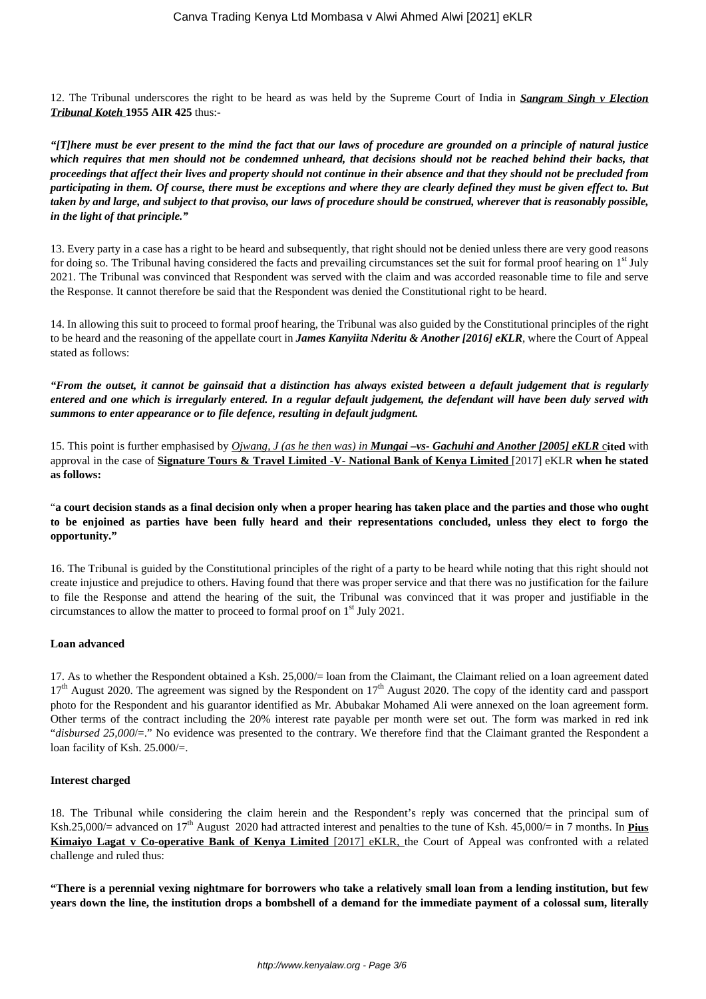12. The Tribunal underscores the right to be heard as was held by the Supreme Court of India in *Sangram Singh v Election Tribunal Koteh* **1955 AIR 425** thus:-

*"[T]here must be ever present to the mind the fact that our laws of procedure are grounded on a principle of natural justice which requires that men should not be condemned unheard, that decisions should not be reached behind their backs, that proceedings that affect their lives and property should not continue in their absence and that they should not be precluded from participating in them. Of course, there must be exceptions and where they are clearly defined they must be given effect to. But taken by and large, and subject to that proviso, our laws of procedure should be construed, wherever that is reasonably possible, in the light of that principle."*

13. Every party in a case has a right to be heard and subsequently, that right should not be denied unless there are very good reasons for doing so. The Tribunal having considered the facts and prevailing circumstances set the suit for formal proof hearing on  $1<sup>st</sup>$  July 2021. The Tribunal was convinced that Respondent was served with the claim and was accorded reasonable time to file and serve the Response. It cannot therefore be said that the Respondent was denied the Constitutional right to be heard.

14. In allowing this suit to proceed to formal proof hearing, the Tribunal was also guided by the Constitutional principles of the right to be heard and the reasoning of the appellate court in *James Kanyiita Nderitu & Another [2016] eKLR*, where the Court of Appeal stated as follows:

*"From the outset, it cannot be gainsaid that a distinction has always existed between a default judgement that is regularly entered and one which is irregularly entered. In a regular default judgement, the defendant will have been duly served with summons to enter appearance or to file defence, resulting in default judgment.*

15. This point is further emphasised by *Ojwang, J (as he then was) in Mungai –vs- Gachuhi and Another [2005] eKLR* c**ited** with approval in the case of **Signature Tours & Travel Limited -V- National Bank of Kenya Limited** [2017] eKLR **when he stated as follows:** 

"**a court decision stands as a final decision only when a proper hearing has taken place and the parties and those who ought to be enjoined as parties have been fully heard and their representations concluded, unless they elect to forgo the opportunity."**

16. The Tribunal is guided by the Constitutional principles of the right of a party to be heard while noting that this right should not create injustice and prejudice to others. Having found that there was proper service and that there was no justification for the failure to file the Response and attend the hearing of the suit, the Tribunal was convinced that it was proper and justifiable in the circumstances to allow the matter to proceed to formal proof on 1st July 2021.

## **Loan advanced**

17. As to whether the Respondent obtained a Ksh. 25,000/= loan from the Claimant, the Claimant relied on a loan agreement dated  $17<sup>th</sup>$  August 2020. The agreement was signed by the Respondent on  $17<sup>th</sup>$  August 2020. The copy of the identity card and passport photo for the Respondent and his guarantor identified as Mr. Abubakar Mohamed Ali were annexed on the loan agreement form. Other terms of the contract including the 20% interest rate payable per month were set out. The form was marked in red ink "*disbursed 25,000*/=." No evidence was presented to the contrary. We therefore find that the Claimant granted the Respondent a loan facility of Ksh. 25.000/=.

## **Interest charged**

18. The Tribunal while considering the claim herein and the Respondent's reply was concerned that the principal sum of Ksh.25,000/= advanced on  $17<sup>th</sup>$  August 2020 had attracted interest and penalties to the tune of Ksh. 45,000/= in 7 months. In **Pius Kimaiyo Lagat v Co-operative Bank of Kenya Limited** [2017] eKLR, the Court of Appeal was confronted with a related challenge and ruled thus:

**"There is a perennial vexing nightmare for borrowers who take a relatively small loan from a lending institution, but few years down the line, the institution drops a bombshell of a demand for the immediate payment of a colossal sum, literally**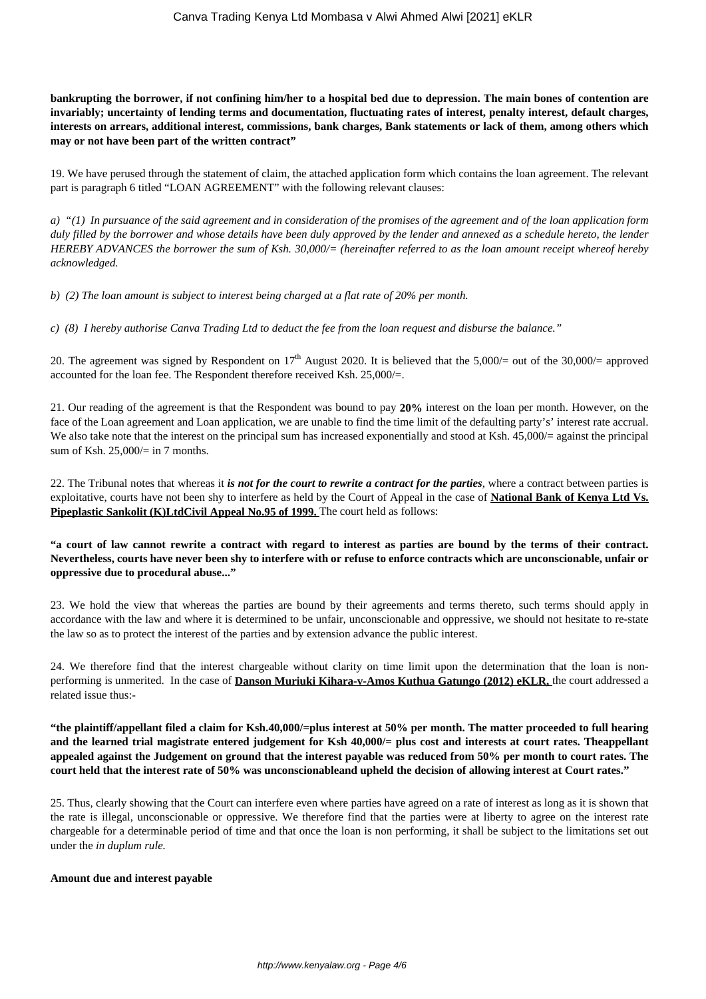**bankrupting the borrower, if not confining him/her to a hospital bed due to depression. The main bones of contention are invariably; uncertainty of lending terms and documentation, fluctuating rates of interest, penalty interest, default charges, interests on arrears, additional interest, commissions, bank charges, Bank statements or lack of them, among others which may or not have been part of the written contract"**

19. We have perused through the statement of claim, the attached application form which contains the loan agreement. The relevant part is paragraph 6 titled "LOAN AGREEMENT" with the following relevant clauses:

*a) "(1) In pursuance of the said agreement and in consideration of the promises of the agreement and of the loan application form duly filled by the borrower and whose details have been duly approved by the lender and annexed as a schedule hereto, the lender HEREBY ADVANCES the borrower the sum of Ksh. 30,000/= (hereinafter referred to as the loan amount receipt whereof hereby acknowledged.*

*b) (2) The loan amount is subject to interest being charged at a flat rate of 20% per month.* 

*c) (8) I hereby authorise Canva Trading Ltd to deduct the fee from the loan request and disburse the balance."* 

20. The agreement was signed by Respondent on  $17<sup>th</sup>$  August 2020. It is believed that the 5,000/= out of the 30,000/= approved accounted for the loan fee. The Respondent therefore received Ksh. 25,000/=.

21. Our reading of the agreement is that the Respondent was bound to pay **20%** interest on the loan per month. However, on the face of the Loan agreement and Loan application, we are unable to find the time limit of the defaulting party's' interest rate accrual. We also take note that the interest on the principal sum has increased exponentially and stood at Ksh. 45,000/= against the principal sum of Ksh. 25,000/= in 7 months.

22. The Tribunal notes that whereas it *is not for the court to rewrite a contract for the parties*, where a contract between parties is exploitative, courts have not been shy to interfere as held by the Court of Appeal in the case of **National Bank of Kenya Ltd Vs. Pipeplastic Sankolit (K)LtdCivil Appeal No.95 of 1999.** The court held as follows:

**"a court of law cannot rewrite a contract with regard to interest as parties are bound by the terms of their contract. Nevertheless, courts have never been shy to interfere with or refuse to enforce contracts which are unconscionable, unfair or oppressive due to procedural abuse..."**

23. We hold the view that whereas the parties are bound by their agreements and terms thereto, such terms should apply in accordance with the law and where it is determined to be unfair, unconscionable and oppressive, we should not hesitate to re-state the law so as to protect the interest of the parties and by extension advance the public interest.

24. We therefore find that the interest chargeable without clarity on time limit upon the determination that the loan is nonperforming is unmerited. In the case of **Danson Muriuki Kihara-v-Amos Kuthua Gatungo (2012) eKLR,** the court addressed a related issue thus:-

**"the plaintiff/appellant filed a claim for Ksh.40,000/=plus interest at 50% per month. The matter proceeded to full hearing and the learned trial magistrate entered judgement for Ksh 40,000/= plus cost and interests at court rates. Theappellant appealed against the Judgement on ground that the interest payable was reduced from 50% per month to court rates. The court held that the interest rate of 50% was unconscionableand upheld the decision of allowing interest at Court rates."**

25. Thus, clearly showing that the Court can interfere even where parties have agreed on a rate of interest as long as it is shown that the rate is illegal, unconscionable or oppressive. We therefore find that the parties were at liberty to agree on the interest rate chargeable for a determinable period of time and that once the loan is non performing, it shall be subject to the limitations set out under the *in duplum rule.* 

#### **Amount due and interest payable**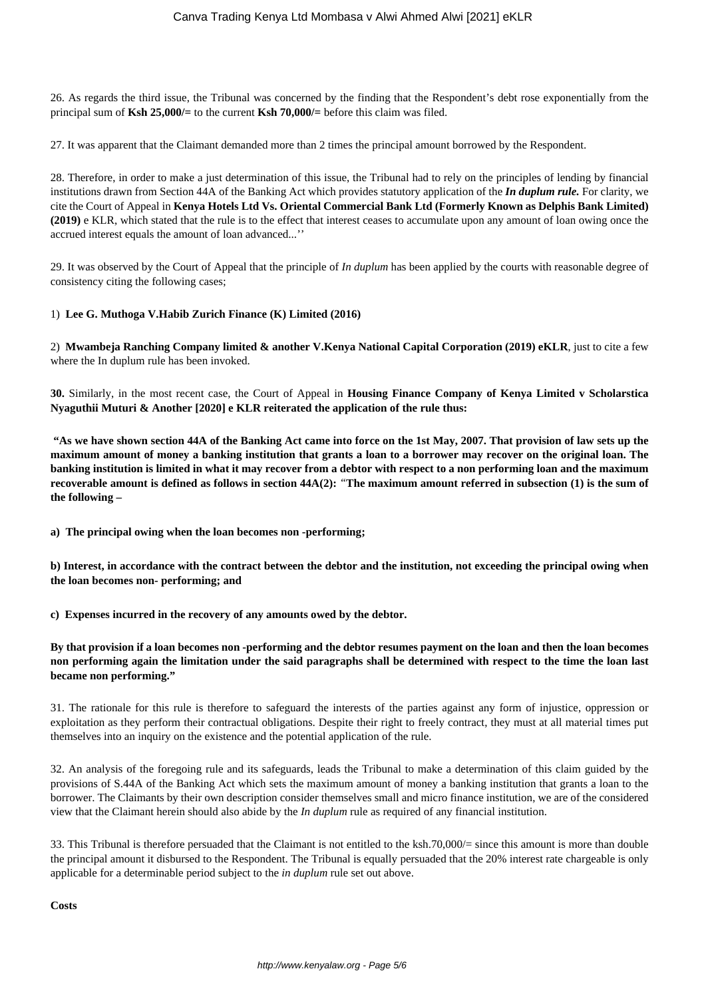26. As regards the third issue, the Tribunal was concerned by the finding that the Respondent's debt rose exponentially from the principal sum of **Ksh 25,000/=** to the current **Ksh 70,000/=** before this claim was filed.

27. It was apparent that the Claimant demanded more than 2 times the principal amount borrowed by the Respondent.

28. Therefore, in order to make a just determination of this issue, the Tribunal had to rely on the principles of lending by financial institutions drawn from Section 44A of the Banking Act which provides statutory application of the *In duplum rule.* For clarity, we cite the Court of Appeal in **Kenya Hotels Ltd Vs. Oriental Commercial Bank Ltd (Formerly Known as Delphis Bank Limited) (2019)** e KLR, which stated that the rule is to the effect that interest ceases to accumulate upon any amount of loan owing once the accrued interest equals the amount of loan advanced...''

29. It was observed by the Court of Appeal that the principle of *In duplum* has been applied by the courts with reasonable degree of consistency citing the following cases;

## 1) **Lee G. Muthoga V.Habib Zurich Finance (K) Limited (2016)**

2) **Mwambeja Ranching Company limited & another V.Kenya National Capital Corporation (2019) eKLR**, just to cite a few where the In duplum rule has been invoked.

**30.** Similarly, in the most recent case, the Court of Appeal in **Housing Finance Company of Kenya Limited v Scholarstica Nyaguthii Muturi & Another [2020] e KLR reiterated the application of the rule thus:** 

**"As we have shown section 44A of the Banking Act came into force on the 1st May, 2007. That provision of law sets up the maximum amount of money a banking institution that grants a loan to a borrower may recover on the original loan. The banking institution is limited in what it may recover from a debtor with respect to a non performing loan and the maximum recoverable amount is defined as follows in section 44A(2):** *"***The maximum amount referred in subsection (1) is the sum of the following –**

**a) The principal owing when the loan becomes non -performing;**

**b) Interest, in accordance with the contract between the debtor and the institution, not exceeding the principal owing when the loan becomes non- performing; and**

**c) Expenses incurred in the recovery of any amounts owed by the debtor.**

**By that provision if a loan becomes non -performing and the debtor resumes payment on the loan and then the loan becomes non performing again the limitation under the said paragraphs shall be determined with respect to the time the loan last became non performing."**

31. The rationale for this rule is therefore to safeguard the interests of the parties against any form of injustice, oppression or exploitation as they perform their contractual obligations. Despite their right to freely contract, they must at all material times put themselves into an inquiry on the existence and the potential application of the rule.

32. An analysis of the foregoing rule and its safeguards, leads the Tribunal to make a determination of this claim guided by the provisions of S.44A of the Banking Act which sets the maximum amount of money a banking institution that grants a loan to the borrower. The Claimants by their own description consider themselves small and micro finance institution, we are of the considered view that the Claimant herein should also abide by the *In duplum* rule as required of any financial institution.

33. This Tribunal is therefore persuaded that the Claimant is not entitled to the ksh.70,000/= since this amount is more than double the principal amount it disbursed to the Respondent. The Tribunal is equally persuaded that the 20% interest rate chargeable is only applicable for a determinable period subject to the *in duplum* rule set out above.

**Costs**